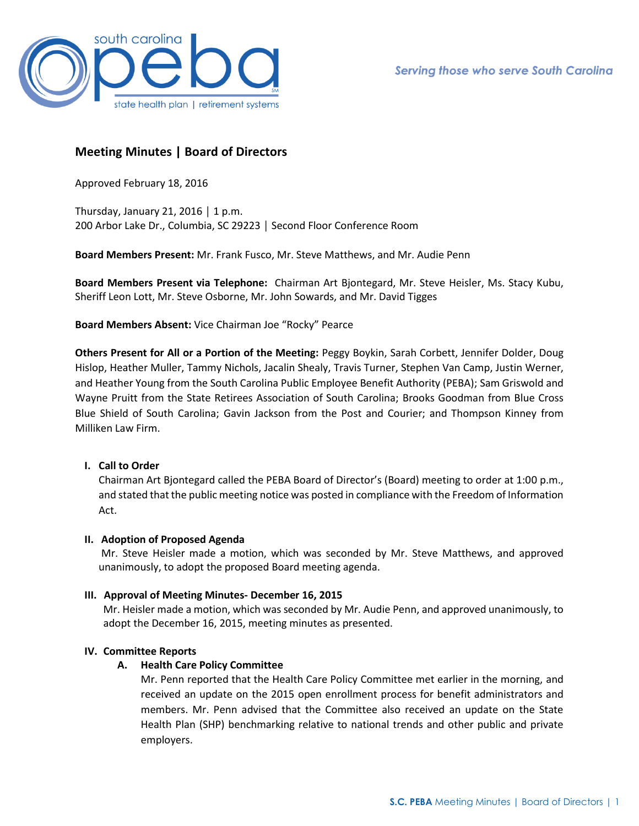

# **Meeting Minutes | Board of Directors**

Approved February 18, 2016

Thursday, January 21, 2016 | 1 p.m. 200 Arbor Lake Dr., Columbia, SC 29223 │ Second Floor Conference Room

**Board Members Present:** Mr. Frank Fusco, Mr. Steve Matthews, and Mr. Audie Penn

**Board Members Present via Telephone:** Chairman Art Bjontegard, Mr. Steve Heisler, Ms. Stacy Kubu, Sheriff Leon Lott, Mr. Steve Osborne, Mr. John Sowards, and Mr. David Tigges

**Board Members Absent:** Vice Chairman Joe "Rocky" Pearce

**Others Present for All or a Portion of the Meeting:** Peggy Boykin, Sarah Corbett, Jennifer Dolder, Doug Hislop, Heather Muller, Tammy Nichols, Jacalin Shealy, Travis Turner, Stephen Van Camp, Justin Werner, and Heather Young from the South Carolina Public Employee Benefit Authority (PEBA); Sam Griswold and Wayne Pruitt from the State Retirees Association of South Carolina; Brooks Goodman from Blue Cross Blue Shield of South Carolina; Gavin Jackson from the Post and Courier; and Thompson Kinney from Milliken Law Firm.

# **I. Call to Order**

Chairman Art Bjontegard called the PEBA Board of Director's (Board) meeting to order at 1:00 p.m., and stated that the public meeting notice was posted in compliance with the Freedom of Information Act.

## **II. Adoption of Proposed Agenda**

Mr. Steve Heisler made a motion, which was seconded by Mr. Steve Matthews, and approved unanimously, to adopt the proposed Board meeting agenda.

## **III. Approval of Meeting Minutes- December 16, 2015**

Mr. Heisler made a motion, which was seconded by Mr. Audie Penn, and approved unanimously, to adopt the December 16, 2015, meeting minutes as presented.

## **IV. Committee Reports**

## **A. Health Care Policy Committee**

Mr. Penn reported that the Health Care Policy Committee met earlier in the morning, and received an update on the 2015 open enrollment process for benefit administrators and members. Mr. Penn advised that the Committee also received an update on the State Health Plan (SHP) benchmarking relative to national trends and other public and private employers.